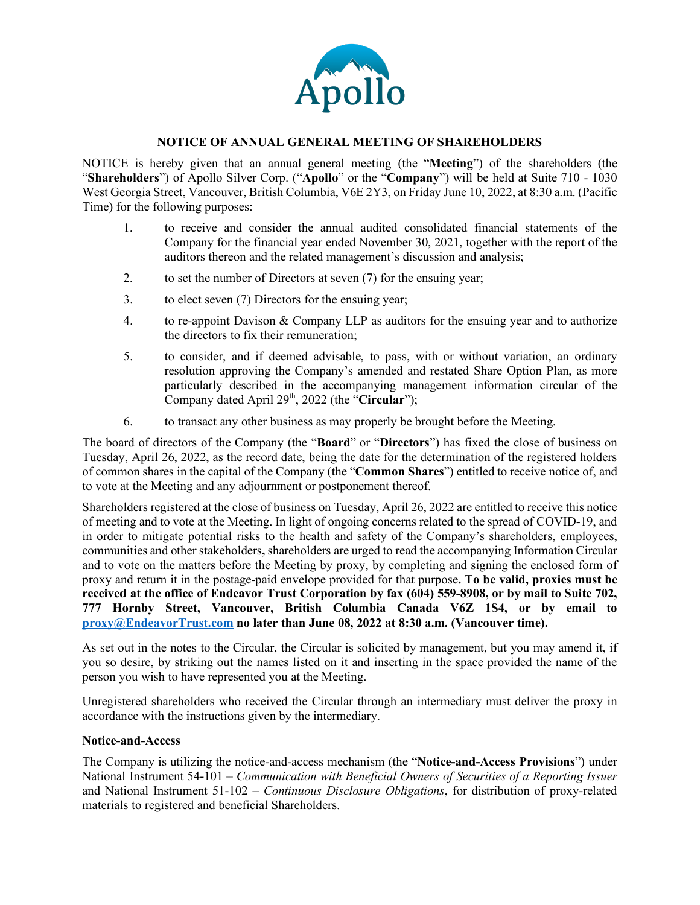

#### **NOTICE OF ANNUAL GENERAL MEETING OF SHAREHOLDERS**

NOTICE is hereby given that an annual general meeting (the "**Meeting**") of the shareholders (the "**Shareholders**") of Apollo Silver Corp. ("**Apollo**" or the "**Company**") will be held at Suite 710 - 1030 West Georgia Street, Vancouver, British Columbia, V6E 2Y3, on Friday June 10, 2022, at 8:30 a.m. (Pacific Time) for the following purposes:

- 1. to receive and consider the annual audited consolidated financial statements of the Company for the financial year ended November 30, 2021, together with the report of the auditors thereon and the related management's discussion and analysis;
- 2. to set the number of Directors at seven (7) for the ensuing year;
- 3. to elect seven (7) Directors for the ensuing year;
- 4. to re-appoint Davison & Company LLP as auditors for the ensuing year and to authorize the directors to fix their remuneration;
- 5. to consider, and if deemed advisable, to pass, with or without variation, an ordinary resolution approving the Company's amended and restated Share Option Plan, as more particularly described in the accompanying management information circular of the Company dated April 29<sup>th</sup>, 2022 (the "**Circular**");
- 6. to transact any other business as may properly be brought before the Meeting.

The board of directors of the Company (the "**Board**" or "**Directors**") has fixed the close of business on Tuesday, April 26, 2022, as the record date, being the date for the determination of the registered holders of common shares in the capital of the Company (the "**Common Shares**") entitled to receive notice of, and to vote at the Meeting and any adjournment or postponement thereof.

Shareholders registered at the close of business on Tuesday, April 26, 2022 are entitled to receive this notice of meeting and to vote at the Meeting. In light of ongoing concerns related to the spread of COVID-19, and in order to mitigate potential risks to the health and safety of the Company's shareholders, employees, communities and other stakeholders**,** shareholders are urged to read the accompanying Information Circular and to vote on the matters before the Meeting by proxy, by completing and signing the enclosed form of proxy and return it in the postage-paid envelope provided for that purpose**. To be valid, proxies must be received at the office of Endeavor Trust Corporation by fax (604) 559-8908, or by mail to Suite 702, 777 Hornby Street, Vancouver, British Columbia Canada V6Z 1S4, or by email to [proxy@EndeavorTrust.com](mailto:proxy@EndeavorTrust.com) no later than June 08, 2022 at 8:30 a.m. (Vancouver time).**

As set out in the notes to the Circular, the Circular is solicited by management, but you may amend it, if you so desire, by striking out the names listed on it and inserting in the space provided the name of the person you wish to have represented you at the Meeting.

Unregistered shareholders who received the Circular through an intermediary must deliver the proxy in accordance with the instructions given by the intermediary.

#### **Notice-and-Access**

The Company is utilizing the notice-and-access mechanism (the "**Notice-and-Access Provisions**") under National Instrument 54-101 – *Communication with Beneficial Owners of Securities of a Reporting Issuer* and National Instrument 51-102 – *Continuous Disclosure Obligations*, for distribution of proxy-related materials to registered and beneficial Shareholders.